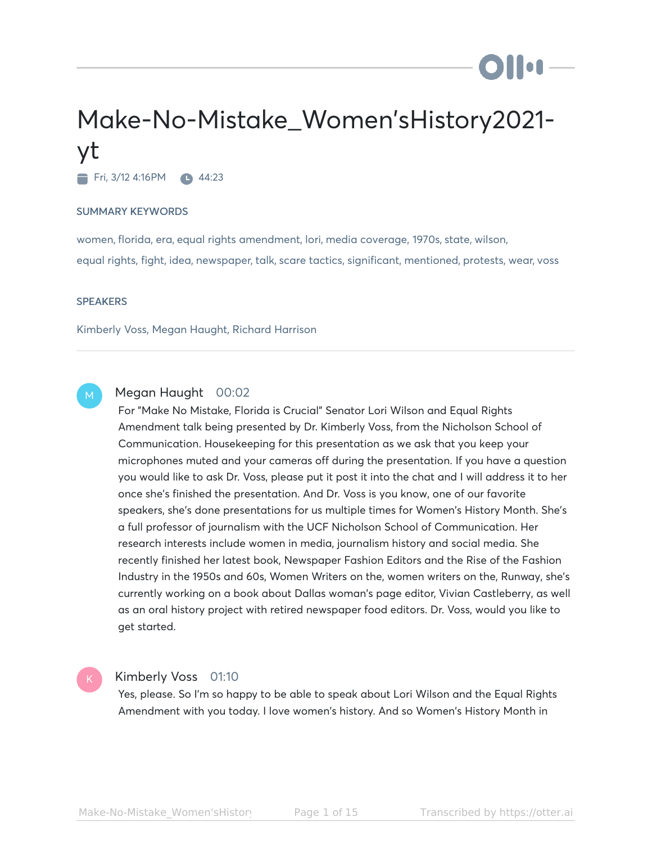# Make-No-Mistake\_Women'sHistory2021 yt

Fri, 3/12 4:16PM 44:23

#### SUMMARY KEYWORDS

women, florida, era, equal rights amendment, lori, media coverage, 1970s, state, wilson, equal rights, fight, idea, newspaper, talk, scare tactics, significant, mentioned, protests, wear, voss

#### **SPEAKERS**

Kimberly Voss, Megan Haught, Richard Harrison

# M

# Megan Haught 00:02

For "Make No Mistake, Florida is Crucial" Senator Lori Wilson and Equal Rights Amendment talk being presented by Dr. Kimberly Voss, from the Nicholson School of Communication. Housekeeping for this presentation as we ask that you keep your microphones muted and your cameras off during the presentation. If you have a question you would like to ask Dr. Voss, please put it post it into the chat and I will address it to her once she's finished the presentation. And Dr. Voss is you know, one of our favorite speakers, she's done presentations for us multiple times for Women's History Month. She's a full professor of journalism with the UCF Nicholson School of Communication. Her research interests include women in media, journalism history and social media. She recently finished her latest book, Newspaper Fashion Editors and the Rise of the Fashion Industry in the 1950s and 60s, Women Writers on the, women writers on the, Runway, she's currently working on a book about Dallas woman's page editor, Vivian Castleberry, as well as an oral history project with retired newspaper food editors. Dr. Voss, would you like to get started.

# Kimberly Voss 01:10

Yes, please. So I'm so happy to be able to speak about Lori Wilson and the Equal Rights Amendment with you today. I love women's history. And so Women's History Month in

**Diloi**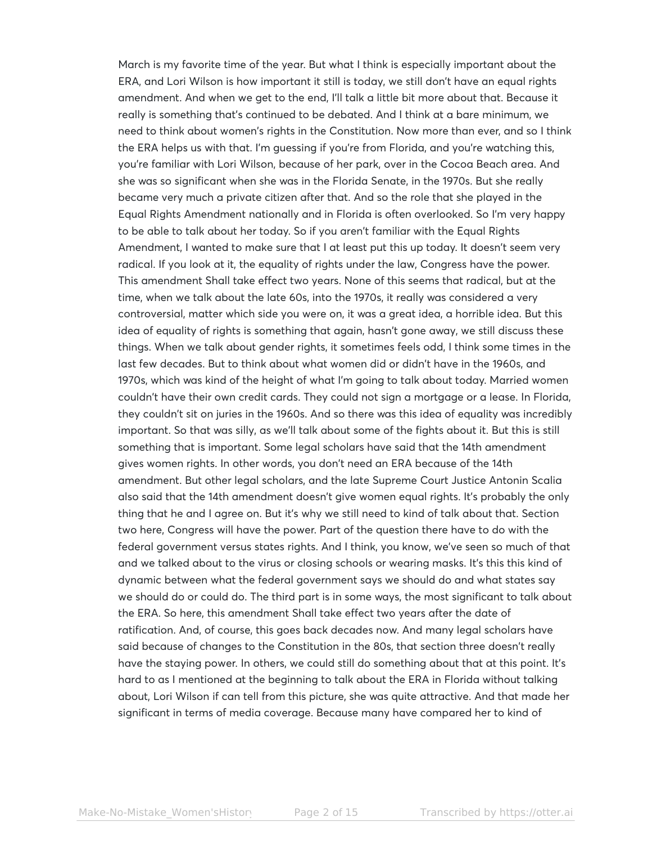March is my favorite time of the year. But what I think is especially important about the ERA, and Lori Wilson is how important it still is today, we still don't have an equal rights amendment. And when we get to the end, I'll talk a little bit more about that. Because it really is something that's continued to be debated. And I think at a bare minimum, we need to think about women's rights in the Constitution. Now more than ever, and so I think the ERA helps us with that. I'm guessing if you're from Florida, and you're watching this, you're familiar with Lori Wilson, because of her park, over in the Cocoa Beach area. And she was so significant when she was in the Florida Senate, in the 1970s. But she really became very much a private citizen after that. And so the role that she played in the Equal Rights Amendment nationally and in Florida is often overlooked. So I'm very happy to be able to talk about her today. So if you aren't familiar with the Equal Rights Amendment, I wanted to make sure that I at least put this up today. It doesn't seem very radical. If you look at it, the equality of rights under the law, Congress have the power. This amendment Shall take effect two years. None of this seems that radical, but at the time, when we talk about the late 60s, into the 1970s, it really was considered a very controversial, matter which side you were on, it was a great idea, a horrible idea. But this idea of equality of rights is something that again, hasn't gone away, we still discuss these things. When we talk about gender rights, it sometimes feels odd, I think some times in the last few decades. But to think about what women did or didn't have in the 1960s, and 1970s, which was kind of the height of what I'm going to talk about today. Married women couldn't have their own credit cards. They could not sign a mortgage or a lease. In Florida, they couldn't sit on juries in the 1960s. And so there was this idea of equality was incredibly important. So that was silly, as we'll talk about some of the fights about it. But this is still something that is important. Some legal scholars have said that the 14th amendment gives women rights. In other words, you don't need an ERA because of the 14th amendment. But other legal scholars, and the late Supreme Court Justice Antonin Scalia also said that the 14th amendment doesn't give women equal rights. It's probably the only thing that he and I agree on. But it's why we still need to kind of talk about that. Section two here, Congress will have the power. Part of the question there have to do with the federal government versus states rights. And I think, you know, we've seen so much of that and we talked about to the virus or closing schools or wearing masks. It's this this kind of dynamic between what the federal government says we should do and what states say we should do or could do. The third part is in some ways, the most significant to talk about the ERA. So here, this amendment Shall take effect two years after the date of ratification. And, of course, this goes back decades now. And many legal scholars have said because of changes to the Constitution in the 80s, that section three doesn't really have the staying power. In others, we could still do something about that at this point. It's hard to as I mentioned at the beginning to talk about the ERA in Florida without talking about, Lori Wilson if can tell from this picture, she was quite attractive. And that made her significant in terms of media coverage. Because many have compared her to kind of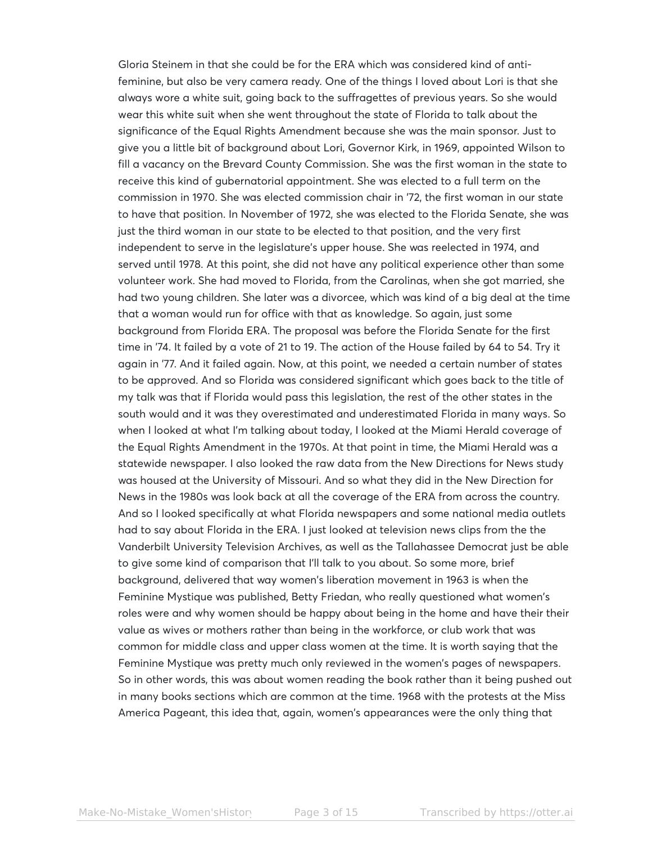Gloria Steinem in that she could be for the ERA which was considered kind of antifeminine, but also be very camera ready. One of the things I loved about Lori is that she always wore a white suit, going back to the suffragettes of previous years. So she would wear this white suit when she went throughout the state of Florida to talk about the significance of the Equal Rights Amendment because she was the main sponsor. Just to give you a little bit of background about Lori, Governor Kirk, in 1969, appointed Wilson to fill a vacancy on the Brevard County Commission. She was the first woman in the state to receive this kind of gubernatorial appointment. She was elected to a full term on the commission in 1970. She was elected commission chair in '72, the first woman in our state to have that position. In November of 1972, she was elected to the Florida Senate, she was just the third woman in our state to be elected to that position, and the very first independent to serve in the legislature's upper house. She was reelected in 1974, and served until 1978. At this point, she did not have any political experience other than some volunteer work. She had moved to Florida, from the Carolinas, when she got married, she had two young children. She later was a divorcee, which was kind of a big deal at the time that a woman would run for office with that as knowledge. So again, just some background from Florida ERA. The proposal was before the Florida Senate for the first time in '74. It failed by a vote of 21 to 19. The action of the House failed by 64 to 54. Try it again in '77. And it failed again. Now, at this point, we needed a certain number of states to be approved. And so Florida was considered significant which goes back to the title of my talk was that if Florida would pass this legislation, the rest of the other states in the south would and it was they overestimated and underestimated Florida in many ways. So when I looked at what I'm talking about today, I looked at the Miami Herald coverage of the Equal Rights Amendment in the 1970s. At that point in time, the Miami Herald was a statewide newspaper. I also looked the raw data from the New Directions for News study was housed at the University of Missouri. And so what they did in the New Direction for News in the 1980s was look back at all the coverage of the ERA from across the country. And so I looked specifically at what Florida newspapers and some national media outlets had to say about Florida in the ERA. I just looked at television news clips from the the Vanderbilt University Television Archives, as well as the Tallahassee Democrat just be able to give some kind of comparison that I'll talk to you about. So some more, brief background, delivered that way women's liberation movement in 1963 is when the Feminine Mystique was published, Betty Friedan, who really questioned what women's roles were and why women should be happy about being in the home and have their their value as wives or mothers rather than being in the workforce, or club work that was common for middle class and upper class women at the time. It is worth saying that the Feminine Mystique was pretty much only reviewed in the women's pages of newspapers. So in other words, this was about women reading the book rather than it being pushed out in many books sections which are common at the time. 1968 with the protests at the Miss America Pageant, this idea that, again, women's appearances were the only thing that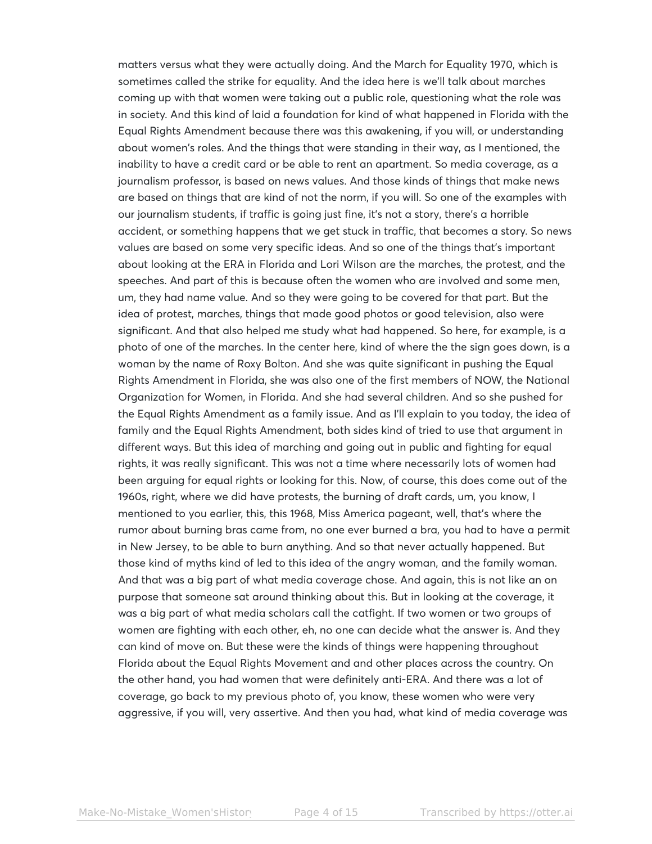matters versus what they were actually doing. And the March for Equality 1970, which is sometimes called the strike for equality. And the idea here is we'll talk about marches coming up with that women were taking out a public role, questioning what the role was in society. And this kind of laid a foundation for kind of what happened in Florida with the Equal Rights Amendment because there was this awakening, if you will, or understanding about women's roles. And the things that were standing in their way, as I mentioned, the inability to have a credit card or be able to rent an apartment. So media coverage, as a journalism professor, is based on news values. And those kinds of things that make news are based on things that are kind of not the norm, if you will. So one of the examples with our journalism students, if traffic is going just fine, it's not a story, there's a horrible accident, or something happens that we get stuck in traffic, that becomes a story. So news values are based on some very specific ideas. And so one of the things that's important about looking at the ERA in Florida and Lori Wilson are the marches, the protest, and the speeches. And part of this is because often the women who are involved and some men, um, they had name value. And so they were going to be covered for that part. But the idea of protest, marches, things that made good photos or good television, also were significant. And that also helped me study what had happened. So here, for example, is a photo of one of the marches. In the center here, kind of where the the sign goes down, is a woman by the name of Roxy Bolton. And she was quite significant in pushing the Equal Rights Amendment in Florida, she was also one of the first members of NOW, the National Organization for Women, in Florida. And she had several children. And so she pushed for the Equal Rights Amendment as a family issue. And as I'll explain to you today, the idea of family and the Equal Rights Amendment, both sides kind of tried to use that argument in different ways. But this idea of marching and going out in public and fighting for equal rights, it was really significant. This was not a time where necessarily lots of women had been arguing for equal rights or looking for this. Now, of course, this does come out of the 1960s, right, where we did have protests, the burning of draft cards, um, you know, I mentioned to you earlier, this, this 1968, Miss America pageant, well, that's where the rumor about burning bras came from, no one ever burned a bra, you had to have a permit in New Jersey, to be able to burn anything. And so that never actually happened. But those kind of myths kind of led to this idea of the angry woman, and the family woman. And that was a big part of what media coverage chose. And again, this is not like an on purpose that someone sat around thinking about this. But in looking at the coverage, it was a big part of what media scholars call the catfight. If two women or two groups of women are fighting with each other, eh, no one can decide what the answer is. And they can kind of move on. But these were the kinds of things were happening throughout Florida about the Equal Rights Movement and and other places across the country. On the other hand, you had women that were definitely anti-ERA. And there was a lot of coverage, go back to my previous photo of, you know, these women who were very aggressive, if you will, very assertive. And then you had, what kind of media coverage was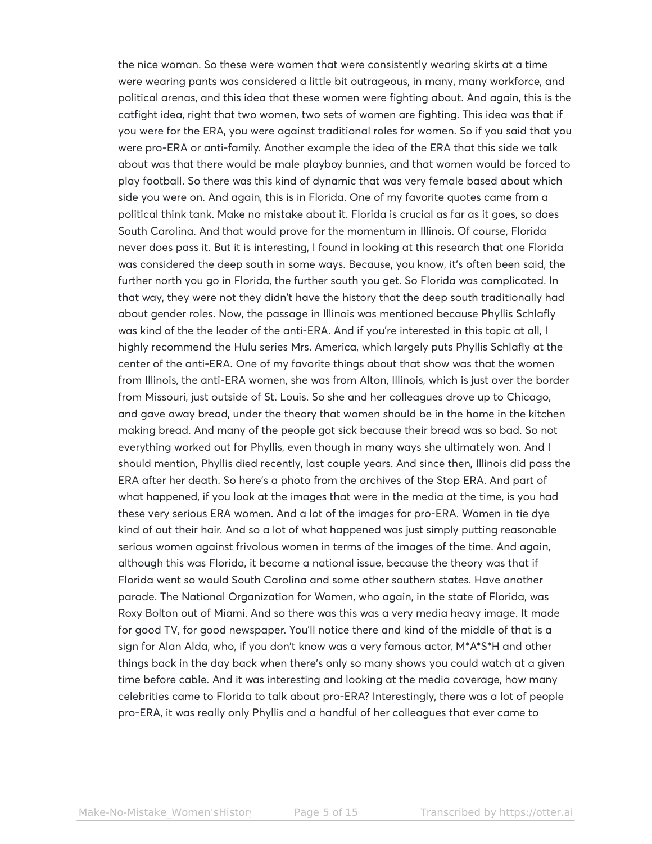the nice woman. So these were women that were consistently wearing skirts at a time were wearing pants was considered a little bit outrageous, in many, many workforce, and political arenas, and this idea that these women were fighting about. And again, this is the catfight idea, right that two women, two sets of women are fighting. This idea was that if you were for the ERA, you were against traditional roles for women. So if you said that you were pro-ERA or anti-family. Another example the idea of the ERA that this side we talk about was that there would be male playboy bunnies, and that women would be forced to play football. So there was this kind of dynamic that was very female based about which side you were on. And again, this is in Florida. One of my favorite quotes came from a political think tank. Make no mistake about it. Florida is crucial as far as it goes, so does South Carolina. And that would prove for the momentum in Illinois. Of course, Florida never does pass it. But it is interesting, I found in looking at this research that one Florida was considered the deep south in some ways. Because, you know, it's often been said, the further north you go in Florida, the further south you get. So Florida was complicated. In that way, they were not they didn't have the history that the deep south traditionally had about gender roles. Now, the passage in Illinois was mentioned because Phyllis Schlafly was kind of the the leader of the anti-ERA. And if you're interested in this topic at all, I highly recommend the Hulu series Mrs. America, which largely puts Phyllis Schlafly at the center of the anti-ERA. One of my favorite things about that show was that the women from Illinois, the anti-ERA women, she was from Alton, Illinois, which is just over the border from Missouri, just outside of St. Louis. So she and her colleagues drove up to Chicago, and gave away bread, under the theory that women should be in the home in the kitchen making bread. And many of the people got sick because their bread was so bad. So not everything worked out for Phyllis, even though in many ways she ultimately won. And I should mention, Phyllis died recently, last couple years. And since then, Illinois did pass the ERA after her death. So here's a photo from the archives of the Stop ERA. And part of what happened, if you look at the images that were in the media at the time, is you had these very serious ERA women. And a lot of the images for pro-ERA. Women in tie dye kind of out their hair. And so a lot of what happened was just simply putting reasonable serious women against frivolous women in terms of the images of the time. And again, although this was Florida, it became a national issue, because the theory was that if Florida went so would South Carolina and some other southern states. Have another parade. The National Organization for Women, who again, in the state of Florida, was Roxy Bolton out of Miami. And so there was this was a very media heavy image. It made for good TV, for good newspaper. You'll notice there and kind of the middle of that is a sign for Alan Alda, who, if you don't know was a very famous actor, M\*A\*S\*H and other things back in the day back when there's only so many shows you could watch at a given time before cable. And it was interesting and looking at the media coverage, how many celebrities came to Florida to talk about pro-ERA? Interestingly, there was a lot of people pro-ERA, it was really only Phyllis and a handful of her colleagues that ever came to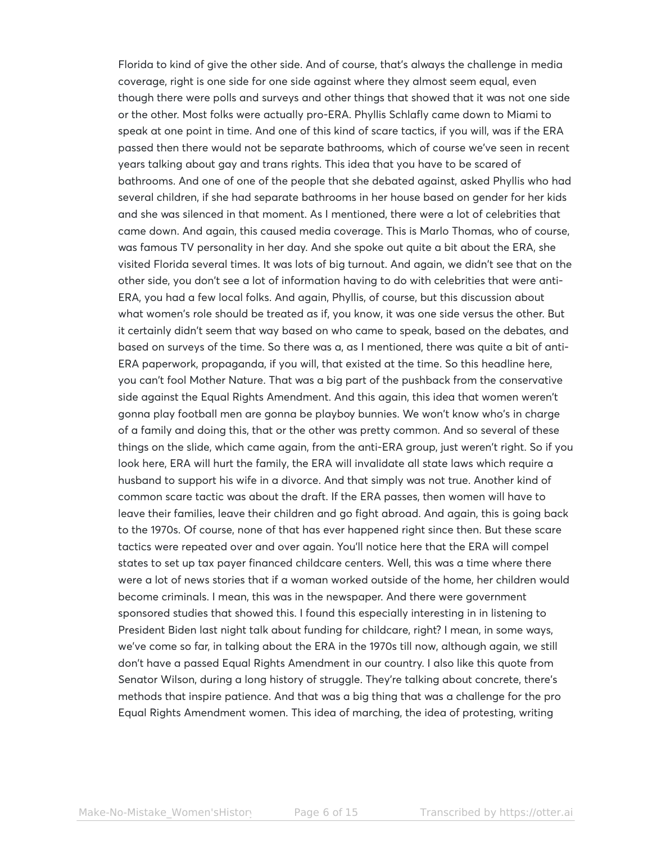Florida to kind of give the other side. And of course, that's always the challenge in media coverage, right is one side for one side against where they almost seem equal, even though there were polls and surveys and other things that showed that it was not one side or the other. Most folks were actually pro-ERA. Phyllis Schlafly came down to Miami to speak at one point in time. And one of this kind of scare tactics, if you will, was if the ERA passed then there would not be separate bathrooms, which of course we've seen in recent years talking about gay and trans rights. This idea that you have to be scared of bathrooms. And one of one of the people that she debated against, asked Phyllis who had several children, if she had separate bathrooms in her house based on gender for her kids and she was silenced in that moment. As I mentioned, there were a lot of celebrities that came down. And again, this caused media coverage. This is Marlo Thomas, who of course, was famous TV personality in her day. And she spoke out quite a bit about the ERA, she visited Florida several times. It was lots of big turnout. And again, we didn't see that on the other side, you don't see a lot of information having to do with celebrities that were anti-ERA, you had a few local folks. And again, Phyllis, of course, but this discussion about what women's role should be treated as if, you know, it was one side versus the other. But it certainly didn't seem that way based on who came to speak, based on the debates, and based on surveys of the time. So there was a, as I mentioned, there was quite a bit of anti-ERA paperwork, propaganda, if you will, that existed at the time. So this headline here, you can't fool Mother Nature. That was a big part of the pushback from the conservative side against the Equal Rights Amendment. And this again, this idea that women weren't gonna play football men are gonna be playboy bunnies. We won't know who's in charge of a family and doing this, that or the other was pretty common. And so several of these things on the slide, which came again, from the anti-ERA group, just weren't right. So if you look here, ERA will hurt the family, the ERA will invalidate all state laws which require a husband to support his wife in a divorce. And that simply was not true. Another kind of common scare tactic was about the draft. If the ERA passes, then women will have to leave their families, leave their children and go fight abroad. And again, this is going back to the 1970s. Of course, none of that has ever happened right since then. But these scare tactics were repeated over and over again. You'll notice here that the ERA will compel states to set up tax payer financed childcare centers. Well, this was a time where there were a lot of news stories that if a woman worked outside of the home, her children would become criminals. I mean, this was in the newspaper. And there were government sponsored studies that showed this. I found this especially interesting in in listening to President Biden last night talk about funding for childcare, right? I mean, in some ways, we've come so far, in talking about the ERA in the 1970s till now, although again, we still don't have a passed Equal Rights Amendment in our country. I also like this quote from Senator Wilson, during a long history of struggle. They're talking about concrete, there's methods that inspire patience. And that was a big thing that was a challenge for the pro Equal Rights Amendment women. This idea of marching, the idea of protesting, writing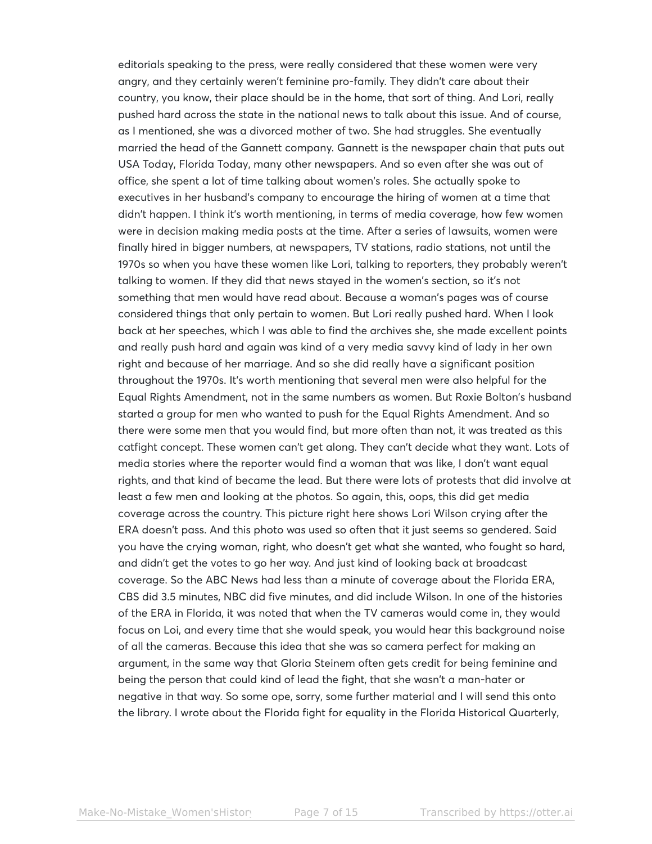editorials speaking to the press, were really considered that these women were very angry, and they certainly weren't feminine pro-family. They didn't care about their country, you know, their place should be in the home, that sort of thing. And Lori, really pushed hard across the state in the national news to talk about this issue. And of course, as I mentioned, she was a divorced mother of two. She had struggles. She eventually married the head of the Gannett company. Gannett is the newspaper chain that puts out USA Today, Florida Today, many other newspapers. And so even after she was out of office, she spent a lot of time talking about women's roles. She actually spoke to executives in her husband's company to encourage the hiring of women at a time that didn't happen. I think it's worth mentioning, in terms of media coverage, how few women were in decision making media posts at the time. After a series of lawsuits, women were finally hired in bigger numbers, at newspapers, TV stations, radio stations, not until the 1970s so when you have these women like Lori, talking to reporters, they probably weren't talking to women. If they did that news stayed in the women's section, so it's not something that men would have read about. Because a woman's pages was of course considered things that only pertain to women. But Lori really pushed hard. When I look back at her speeches, which I was able to find the archives she, she made excellent points and really push hard and again was kind of a very media savvy kind of lady in her own right and because of her marriage. And so she did really have a significant position throughout the 1970s. It's worth mentioning that several men were also helpful for the Equal Rights Amendment, not in the same numbers as women. But Roxie Bolton's husband started a group for men who wanted to push for the Equal Rights Amendment. And so there were some men that you would find, but more often than not, it was treated as this catfight concept. These women can't get along. They can't decide what they want. Lots of media stories where the reporter would find a woman that was like, I don't want equal rights, and that kind of became the lead. But there were lots of protests that did involve at least a few men and looking at the photos. So again, this, oops, this did get media coverage across the country. This picture right here shows Lori Wilson crying after the ERA doesn't pass. And this photo was used so often that it just seems so gendered. Said you have the crying woman, right, who doesn't get what she wanted, who fought so hard, and didn't get the votes to go her way. And just kind of looking back at broadcast coverage. So the ABC News had less than a minute of coverage about the Florida ERA, CBS did 3.5 minutes, NBC did five minutes, and did include Wilson. In one of the histories of the ERA in Florida, it was noted that when the TV cameras would come in, they would focus on Loi, and every time that she would speak, you would hear this background noise of all the cameras. Because this idea that she was so camera perfect for making an argument, in the same way that Gloria Steinem often gets credit for being feminine and being the person that could kind of lead the fight, that she wasn't a man-hater or negative in that way. So some ope, sorry, some further material and I will send this onto the library. I wrote about the Florida fight for equality in the Florida Historical Quarterly,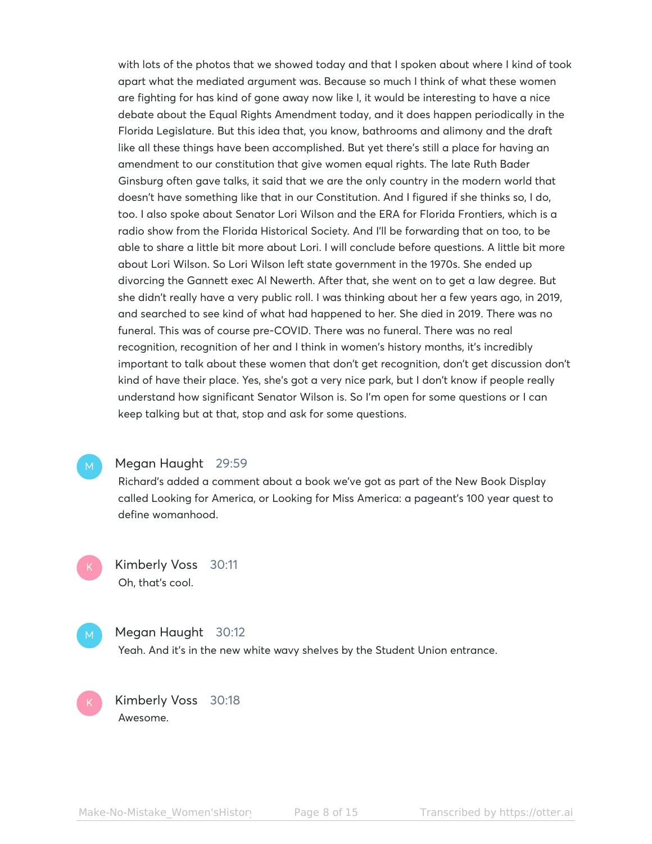with lots of the photos that we showed today and that I spoken about where I kind of took apart what the mediated argument was. Because so much I think of what these women are fighting for has kind of gone away now like I, it would be interesting to have a nice debate about the Equal Rights Amendment today, and it does happen periodically in the Florida Legislature. But this idea that, you know, bathrooms and alimony and the draft like all these things have been accomplished. But yet there's still a place for having an amendment to our constitution that give women equal rights. The late Ruth Bader Ginsburg often gave talks, it said that we are the only country in the modern world that doesn't have something like that in our Constitution. And I figured if she thinks so, I do, too. I also spoke about Senator Lori Wilson and the ERA for Florida Frontiers, which is a radio show from the Florida Historical Society. And I'll be forwarding that on too, to be able to share a little bit more about Lori. I will conclude before questions. A little bit more about Lori Wilson. So Lori Wilson left state government in the 1970s. She ended up divorcing the Gannett exec Al Newerth. After that, she went on to get a law degree. But she didn't really have a very public roll. I was thinking about her a few years ago, in 2019, and searched to see kind of what had happened to her. She died in 2019. There was no funeral. This was of course pre-COVID. There was no funeral. There was no real recognition, recognition of her and I think in women's history months, it's incredibly important to talk about these women that don't get recognition, don't get discussion don't kind of have their place. Yes, she's got a very nice park, but I don't know if people really understand how significant Senator Wilson is. So I'm open for some questions or I can keep talking but at that, stop and ask for some questions.

#### Megan Haught 29:59

Richard's added a comment about a book we've got as part of the New Book Display called Looking for America, or Looking for Miss America: a pageant's 100 year quest to define womanhood.

Kimberly Voss 30:11 Oh, that's cool.

# Megan Haught 30:12

Yeah. And it's in the new white wavy shelves by the Student Union entrance.

Kimberly Voss 30:18 Awesome.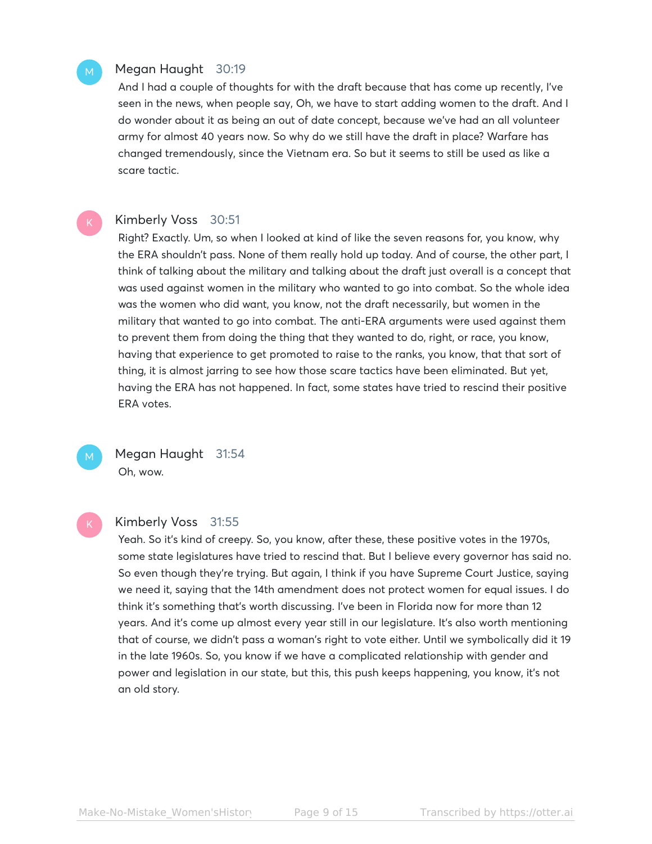# Megan Haught 30:19

And I had a couple of thoughts for with the draft because that has come up recently, I've seen in the news, when people say, Oh, we have to start adding women to the draft. And I do wonder about it as being an out of date concept, because we've had an all volunteer army for almost 40 years now. So why do we still have the draft in place? Warfare has changed tremendously, since the Vietnam era. So but it seems to still be used as like a scare tactic.

#### Kimberly Voss 30:51

Right? Exactly. Um, so when I looked at kind of like the seven reasons for, you know, why the ERA shouldn't pass. None of them really hold up today. And of course, the other part, I think of talking about the military and talking about the draft just overall is a concept that was used against women in the military who wanted to go into combat. So the whole idea was the women who did want, you know, not the draft necessarily, but women in the military that wanted to go into combat. The anti-ERA arguments were used against them to prevent them from doing the thing that they wanted to do, right, or race, you know, having that experience to get promoted to raise to the ranks, you know, that that sort of thing, it is almost jarring to see how those scare tactics have been eliminated. But yet, having the ERA has not happened. In fact, some states have tried to rescind their positive ERA votes.



# Megan Haught 31:54 Oh, wow.

# Kimberly Voss 31:55

Yeah. So it's kind of creepy. So, you know, after these, these positive votes in the 1970s, some state legislatures have tried to rescind that. But I believe every governor has said no. So even though they're trying. But again, I think if you have Supreme Court Justice, saying we need it, saying that the 14th amendment does not protect women for equal issues. I do think it's something that's worth discussing. I've been in Florida now for more than 12 years. And it's come up almost every year still in our legislature. It's also worth mentioning that of course, we didn't pass a woman's right to vote either. Until we symbolically did it 19 in the late 1960s. So, you know if we have a complicated relationship with gender and power and legislation in our state, but this, this push keeps happening, you know, it's not an old story.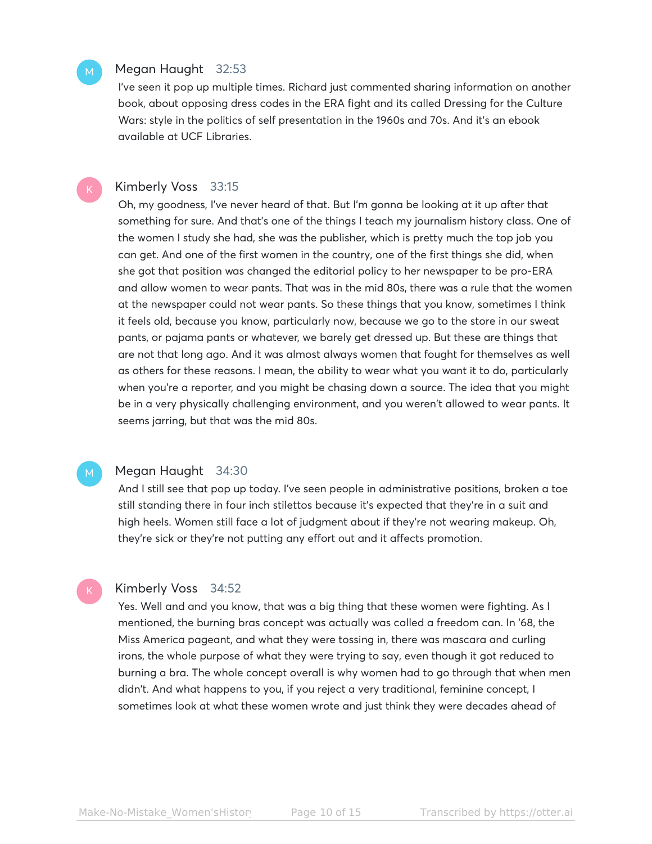#### Megan Haught 32:53

I've seen it pop up multiple times. Richard just commented sharing information on another book, about opposing dress codes in the ERA fight and its called Dressing for the Culture Wars: style in the politics of self presentation in the 1960s and 70s. And it's an ebook available at UCF Libraries.

#### Kimberly Voss 33:15

Oh, my goodness, I've never heard of that. But I'm gonna be looking at it up after that something for sure. And that's one of the things I teach my journalism history class. One of the women I study she had, she was the publisher, which is pretty much the top job you can get. And one of the first women in the country, one of the first things she did, when she got that position was changed the editorial policy to her newspaper to be pro-ERA and allow women to wear pants. That was in the mid 80s, there was a rule that the women at the newspaper could not wear pants. So these things that you know, sometimes I think it feels old, because you know, particularly now, because we go to the store in our sweat pants, or pajama pants or whatever, we barely get dressed up. But these are things that are not that long ago. And it was almost always women that fought for themselves as well as others for these reasons. I mean, the ability to wear what you want it to do, particularly when you're a reporter, and you might be chasing down a source. The idea that you might be in a very physically challenging environment, and you weren't allowed to wear pants. It seems jarring, but that was the mid 80s.

# Megan Haught 34:30

And I still see that pop up today. I've seen people in administrative positions, broken a toe still standing there in four inch stilettos because it's expected that they're in a suit and high heels. Women still face a lot of judgment about if they're not wearing makeup. Oh, they're sick or they're not putting any effort out and it affects promotion.

#### Kimberly Voss 34:52

Yes. Well and and you know, that was a big thing that these women were fighting. As I mentioned, the burning bras concept was actually was called a freedom can. In '68, the Miss America pageant, and what they were tossing in, there was mascara and curling irons, the whole purpose of what they were trying to say, even though it got reduced to burning a bra. The whole concept overall is why women had to go through that when men didn't. And what happens to you, if you reject a very traditional, feminine concept, I sometimes look at what these women wrote and just think they were decades ahead of

M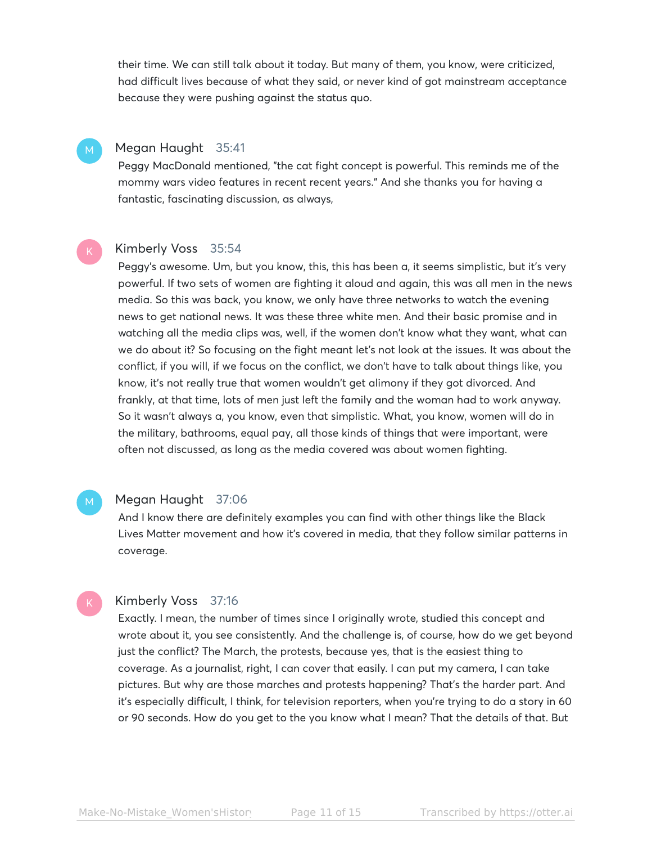their time. We can still talk about it today. But many of them, you know, were criticized, had difficult lives because of what they said, or never kind of got mainstream acceptance because they were pushing against the status quo.

# Megan Haught 35:41

Peggy MacDonald mentioned, "the cat fight concept is powerful. This reminds me of the mommy wars video features in recent recent years." And she thanks you for having a fantastic, fascinating discussion, as always,

#### Kimberly Voss 35:54

Peggy's awesome. Um, but you know, this, this has been a, it seems simplistic, but it's very powerful. If two sets of women are fighting it aloud and again, this was all men in the news media. So this was back, you know, we only have three networks to watch the evening news to get national news. It was these three white men. And their basic promise and in watching all the media clips was, well, if the women don't know what they want, what can we do about it? So focusing on the fight meant let's not look at the issues. It was about the conflict, if you will, if we focus on the conflict, we don't have to talk about things like, you know, it's not really true that women wouldn't get alimony if they got divorced. And frankly, at that time, lots of men just left the family and the woman had to work anyway. So it wasn't always a, you know, even that simplistic. What, you know, women will do in the military, bathrooms, equal pay, all those kinds of things that were important, were often not discussed, as long as the media covered was about women fighting.

# Megan Haught 37:06

And I know there are definitely examples you can find with other things like the Black Lives Matter movement and how it's covered in media, that they follow similar patterns in coverage.

#### Kimberly Voss 37:16

Exactly. I mean, the number of times since I originally wrote, studied this concept and wrote about it, you see consistently. And the challenge is, of course, how do we get beyond just the conflict? The March, the protests, because yes, that is the easiest thing to coverage. As a journalist, right, I can cover that easily. I can put my camera, I can take pictures. But why are those marches and protests happening? That's the harder part. And it's especially difficult, I think, for television reporters, when you're trying to do a story in 60 or 90 seconds. How do you get to the you know what I mean? That the details of that. But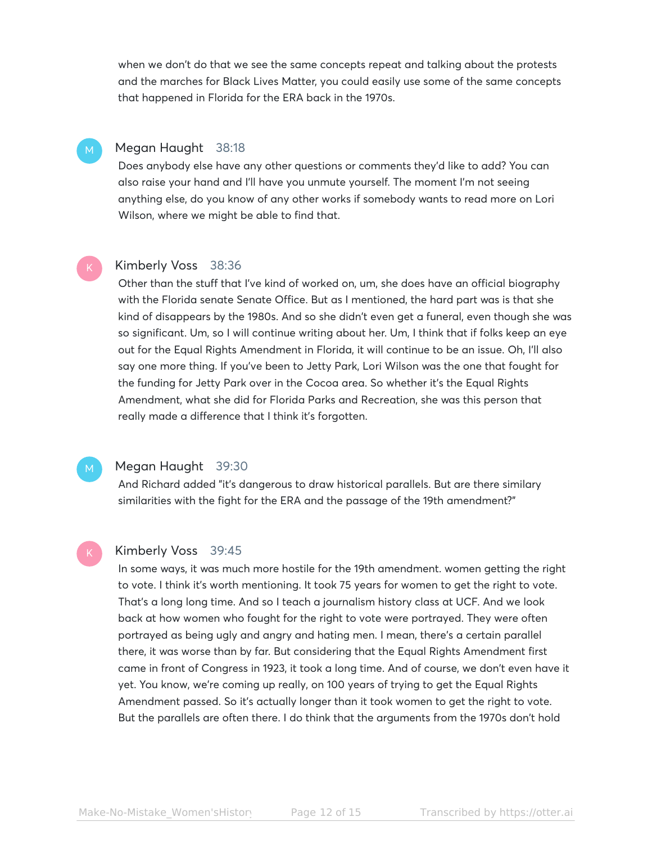when we don't do that we see the same concepts repeat and talking about the protests and the marches for Black Lives Matter, you could easily use some of the same concepts that happened in Florida for the ERA back in the 1970s.

# Megan Haught 38:18

Does anybody else have any other questions or comments they'd like to add? You can also raise your hand and I'll have you unmute yourself. The moment I'm not seeing anything else, do you know of any other works if somebody wants to read more on Lori Wilson, where we might be able to find that.

# Kimberly Voss 38:36

Other than the stuff that I've kind of worked on, um, she does have an official biography with the Florida senate Senate Office. But as I mentioned, the hard part was is that she kind of disappears by the 1980s. And so she didn't even get a funeral, even though she was so significant. Um, so I will continue writing about her. Um, I think that if folks keep an eye out for the Equal Rights Amendment in Florida, it will continue to be an issue. Oh, I'll also say one more thing. If you've been to Jetty Park, Lori Wilson was the one that fought for the funding for Jetty Park over in the Cocoa area. So whether it's the Equal Rights Amendment, what she did for Florida Parks and Recreation, she was this person that really made a difference that I think it's forgotten.

# Megan Haught 39:30

And Richard added "it's dangerous to draw historical parallels. But are there similary similarities with the fight for the ERA and the passage of the 19th amendment?"

# Kimberly Voss 39:45

In some ways, it was much more hostile for the 19th amendment. women getting the right to vote. I think it's worth mentioning. It took 75 years for women to get the right to vote. That's a long long time. And so I teach a journalism history class at UCF. And we look back at how women who fought for the right to vote were portrayed. They were often portrayed as being ugly and angry and hating men. I mean, there's a certain parallel there, it was worse than by far. But considering that the Equal Rights Amendment first came in front of Congress in 1923, it took a long time. And of course, we don't even have it yet. You know, we're coming up really, on 100 years of trying to get the Equal Rights Amendment passed. So it's actually longer than it took women to get the right to vote. But the parallels are often there. I do think that the arguments from the 1970s don't hold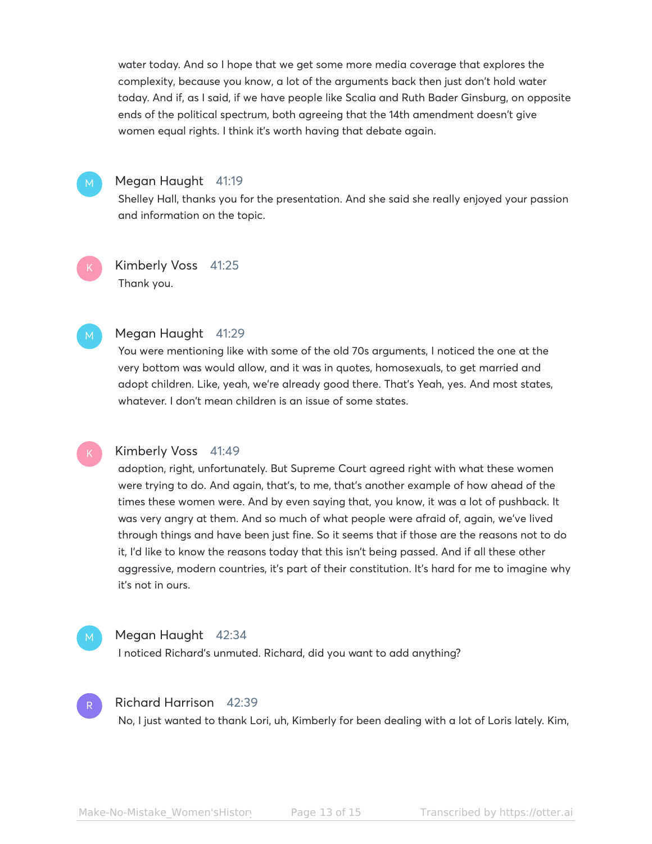water today. And so I hope that we get some more media coverage that explores the complexity, because you know, a lot of the arguments back then just don't hold water today. And if, as I said, if we have people like Scalia and Ruth Bader Ginsburg, on opposite ends of the political spectrum, both agreeing that the 14th amendment doesn't give women equal rights. I think it's worth having that debate again.



# Megan Haught 41:19

Shelley Hall, thanks you for the presentation. And she said she really enjoyed your passion and information on the topic.

Kimberly Voss 41:25 Thank you.

### Megan Haught 41:29

You were mentioning like with some of the old 70s arguments, I noticed the one at the very bottom was would allow, and it was in quotes, homosexuals, to get married and adopt children. Like, yeah, we're already good there. That's Yeah, yes. And most states, whatever. I don't mean children is an issue of some states.

# Kimberly Voss 41:49

adoption, right, unfortunately. But Supreme Court agreed right with what these women were trying to do. And again, that's, to me, that's another example of how ahead of the times these women were. And by even saying that, you know, it was a lot of pushback. It was very angry at them. And so much of what people were afraid of, again, we've lived through things and have been just fine. So it seems that if those are the reasons not to do it, I'd like to know the reasons today that this isn't being passed. And if all these other aggressive, modern countries, it's part of their constitution. It's hard for me to imagine why it's not in ours.

# Megan Haught 42:34

I noticed Richard's unmuted. Richard, did you want to add anything?



# Richard Harrison 42:39

No, I just wanted to thank Lori, uh, Kimberly for been dealing with a lot of Loris lately. Kim,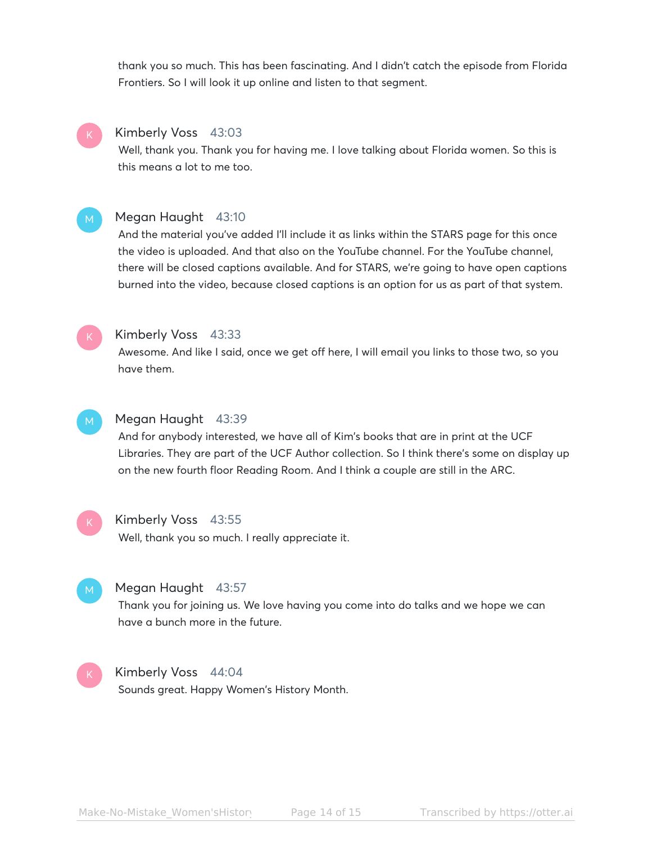thank you so much. This has been fascinating. And I didn't catch the episode from Florida Frontiers. So I will look it up online and listen to that segment.



#### Kimberly Voss 43:03

Well, thank you. Thank you for having me. I love talking about Florida women. So this is this means a lot to me too.

#### Megan Haught 43:10

And the material you've added I'll include it as links within the STARS page for this once the video is uploaded. And that also on the YouTube channel. For the YouTube channel, there will be closed captions available. And for STARS, we're going to have open captions burned into the video, because closed captions is an option for us as part of that system.



# Kimberly Voss 43:33

Awesome. And like I said, once we get off here, I will email you links to those two, so you have them.



### Megan Haught 43:39

And for anybody interested, we have all of Kim's books that are in print at the UCF Libraries. They are part of the UCF Author collection. So I think there's some on display up on the new fourth floor Reading Room. And I think a couple are still in the ARC.



#### Kimberly Voss 43:55

Well, thank you so much. I really appreciate it.



#### Megan Haught 43:57

Thank you for joining us. We love having you come into do talks and we hope we can have a bunch more in the future.

#### Kimberly Voss 44:04

Sounds great. Happy Women's History Month.